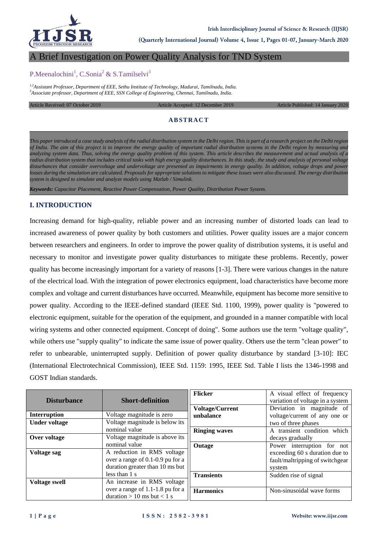

**(Quarterly International Journal) Volume 4, Issue 1, Pages 01-07, January-March 2020**

# A Brief Investigation on Power Quality Analysis for TND System

# P.Meenalochini<sup>1</sup>, C.Sonia<sup>2</sup> & S.Tamilselvi<sup>3</sup>

*1,2Assistant Professor, Department of EEE, Sethu Institute of Technology, Madurai, Tamilnadu, India. <sup>3</sup>Associate professor, Department of EEE, SSN College of Engineering, Chennai, Tamilnadu, India.*

Article Received: 07 October 2019 Article Accepted: 12 December 2019 Article Published: 14 January 2020

# **ABSTRACT**

*This paper introduced a case study analysis of the radial distribution system in the Delhi region. This is part of a research project on the Delhi region of India. The aim of this project is to improve the energy quality of important radial distribution systems in the Delhi region by measuring and analyzing system data. Thus, solving the energy quality problem of this system. This article describes the measurement and actual analysis of a radius distribution system that includes critical tasks with high energy quality disturbances. In this study, the study and analysis of personal voltage disturbances that consider overvoltage and undervoltage are presented as impairments in energy quality. In addition, voltage drops and power losses during the simulation are calculated. Proposals for appropriate solutions to mitigate these issues were also discussed. The energy distribution system is designed to simulate and analyze models using Matlab / Simulink.*

*Keywords: Capacitor Placement, Reactive Power Compensation, Power Quality, Distribution Power System.*

### **I. INTRODUCTION**

Increasing demand for high-quality, reliable power and an increasing number of distorted loads can lead to increased awareness of power quality by both customers and utilities. Power quality issues are a major concern between researchers and engineers. In order to improve the power quality of distribution systems, it is useful and necessary to monitor and investigate power quality disturbances to mitigate these problems. Recently, power quality has become increasingly important for a variety of reasons [1-3]. There were various changes in the nature of the electrical load. With the integration of power electronics equipment, load characteristics have become more complex and voltage and current disturbances have occurred. Meanwhile, equipment has become more sensitive to power quality. According to the IEEE-defined standard (IEEE Std. 1100, 1999), power quality is "powered to electronic equipment, suitable for the operation of the equipment, and grounded in a manner compatible with local wiring systems and other connected equipment. Concept of doing". Some authors use the term "voltage quality", while others use "supply quality" to indicate the same issue of power quality. Others use the term "clean power" to refer to unbearable, uninterrupted supply. Definition of power quality disturbance by standard [3-10]: IEC (International Electrotechnical Commission), IEEE Std. 1159: 1995, IEEE Std. Table I lists the 1346-1998 and GOST Indian standards.

|                      |                                  | <b>Flicker</b>         | A visual effect of frequency     |
|----------------------|----------------------------------|------------------------|----------------------------------|
| <b>Disturbance</b>   | <b>Short-definition</b>          |                        | variation of voltage in a system |
|                      |                                  | <b>Voltage/Current</b> | Deviation in magnitude of        |
| Interruption         | Voltage magnitude is zero        | unbalance              | voltage/current of any one or    |
| <b>Under voltage</b> | Voltage magnitude is below its   |                        | two of three phases              |
|                      | nominal value                    | <b>Ringing waves</b>   | A transient condition which      |
| Over voltage         | Voltage magnitude is above its   |                        | decays gradually                 |
|                      | nominal value                    | Outage                 | Power interruption for not       |
| Voltage sag          | A reduction in RMS voltage       |                        | exceeding 60 s duration due to   |
|                      | over a range of 0.1-0.9 pu for a |                        | fault/maltripping of switchgear  |
|                      | duration greater than 10 ms but  |                        | system                           |
|                      | less than 1 s                    | <b>Transients</b>      | Sudden rise of signal            |
| <b>Voltage swell</b> | An increase in RMS voltage       |                        |                                  |
|                      | over a range of 1.1-1.8 pu for a | <b>Harmonics</b>       | Non-sinusoidal wave forms        |
|                      | duration $> 10$ ms but $< 1$ s   |                        |                                  |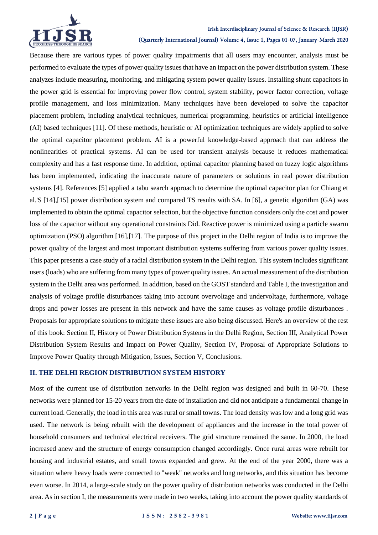

#### **Irish Interdisciplinary Journal of Science & Research (IIJSR)**

**(Quarterly International Journal) Volume 4, Issue 1, Pages 01-07, January-March 2020**

Because there are various types of power quality impairments that all users may encounter, analysis must be performed to evaluate the types of power quality issues that have an impact on the power distribution system. These analyzes include measuring, monitoring, and mitigating system power quality issues. Installing shunt capacitors in the power grid is essential for improving power flow control, system stability, power factor correction, voltage profile management, and loss minimization. Many techniques have been developed to solve the capacitor placement problem, including analytical techniques, numerical programming, heuristics or artificial intelligence (AI) based techniques [11]. Of these methods, heuristic or AI optimization techniques are widely applied to solve the optimal capacitor placement problem. AI is a powerful knowledge-based approach that can address the nonlinearities of practical systems. AI can be used for transient analysis because it reduces mathematical complexity and has a fast response time. In addition, optimal capacitor planning based on fuzzy logic algorithms has been implemented, indicating the inaccurate nature of parameters or solutions in real power distribution systems [4]. References [5] applied a tabu search approach to determine the optimal capacitor plan for Chiang et al.'S [14],[15] power distribution system and compared TS results with SA. In [6], a genetic algorithm (GA) was implemented to obtain the optimal capacitor selection, but the objective function considers only the cost and power loss of the capacitor without any operational constraints Did. Reactive power is minimized using a particle swarm optimization (PSO) algorithm [16],[17]. The purpose of this project in the Delhi region of India is to improve the power quality of the largest and most important distribution systems suffering from various power quality issues. This paper presents a case study of a radial distribution system in the Delhi region. This system includes significant users (loads) who are suffering from many types of power quality issues. An actual measurement of the distribution system in the Delhi area was performed. In addition, based on the GOST standard and Table I, the investigation and analysis of voltage profile disturbances taking into account overvoltage and undervoltage, furthermore, voltage drops and power losses are present in this network and have the same causes as voltage profile disturbances . Proposals for appropriate solutions to mitigate these issues are also being discussed. Here's an overview of the rest of this book: Section II, History of Power Distribution Systems in the Delhi Region, Section III, Analytical Power Distribution System Results and Impact on Power Quality, Section IV, Proposal of Appropriate Solutions to Improve Power Quality through Mitigation, Issues, Section V, Conclusions.

## **II. THE DELHI REGION DISTRIBUTION SYSTEM HISTORY**

Most of the current use of distribution networks in the Delhi region was designed and built in 60-70. These networks were planned for 15-20 years from the date of installation and did not anticipate a fundamental change in current load. Generally, the load in this area was rural or small towns. The load density was low and a long grid was used. The network is being rebuilt with the development of appliances and the increase in the total power of household consumers and technical electrical receivers. The grid structure remained the same. In 2000, the load increased anew and the structure of energy consumption changed accordingly. Once rural areas were rebuilt for housing and industrial estates, and small towns expanded and grew. At the end of the year 2000, there was a situation where heavy loads were connected to "weak" networks and long networks, and this situation has become even worse. In 2014, a large-scale study on the power quality of distribution networks was conducted in the Delhi area. As in section I, the measurements were made in two weeks, taking into account the power quality standards of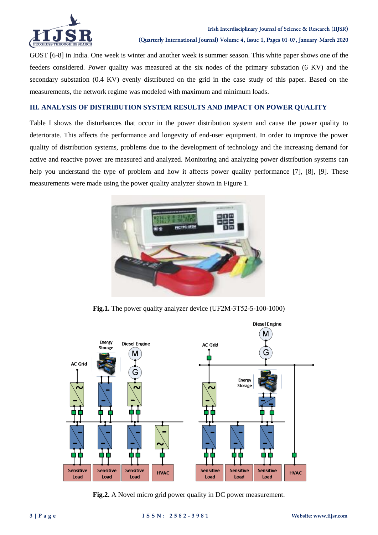

GOST [6-8] in India. One week is winter and another week is summer season. This white paper shows one of the feeders considered. Power quality was measured at the six nodes of the primary substation (6 KV) and the secondary substation (0.4 KV) evenly distributed on the grid in the case study of this paper. Based on the measurements, the network regime was modeled with maximum and minimum loads.

# **III. ANALYSIS OF DISTRIBUTION SYSTEM RESULTS AND IMPACT ON POWER QUALITY**

Table I shows the disturbances that occur in the power distribution system and cause the power quality to deteriorate. This affects the performance and longevity of end-user equipment. In order to improve the power quality of distribution systems, problems due to the development of technology and the increasing demand for active and reactive power are measured and analyzed. Monitoring and analyzing power distribution systems can help you understand the type of problem and how it affects power quality performance [7], [8], [9]. These measurements were made using the power quality analyzer shown in Figure 1.



**Fig.1.** The power quality analyzer device (UF2M-3Т52-5-100-1000)



**Fig.2.** A Novel micro grid power quality in DC power measurement.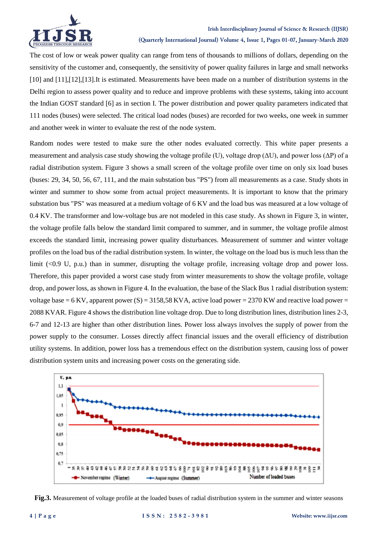

The cost of low or weak power quality can range from tens of thousands to millions of dollars, depending on the sensitivity of the customer and, consequently, the sensitivity of power quality failures in large and small networks [10] and [11], [12], [13]. It is estimated. Measurements have been made on a number of distribution systems in the Delhi region to assess power quality and to reduce and improve problems with these systems, taking into account the Indian GOST standard [6] as in section I. The power distribution and power quality parameters indicated that 111 nodes (buses) were selected. The critical load nodes (buses) are recorded for two weeks, one week in summer and another week in winter to evaluate the rest of the node system.

Random nodes were tested to make sure the other nodes evaluated correctly. This white paper presents a measurement and analysis case study showing the voltage profile (U), voltage drop ( $\Delta U$ ), and power loss ( $\Delta P$ ) of a radial distribution system. Figure 3 shows a small screen of the voltage profile over time on only six load buses (buses: 29, 34, 50, 56, 67, 111, and the main substation bus "PS") from all measurements as a case. Study shots in winter and summer to show some from actual project measurements. It is important to know that the primary substation bus "PS" was measured at a medium voltage of 6 KV and the load bus was measured at a low voltage of 0.4 KV. The transformer and low-voltage bus are not modeled in this case study. As shown in Figure 3, in winter, the voltage profile falls below the standard limit compared to summer, and in summer, the voltage profile almost exceeds the standard limit, increasing power quality disturbances. Measurement of summer and winter voltage profiles on the load bus of the radial distribution system. In winter, the voltage on the load bus is much less than the limit (<0.9 U, p.u.) than in summer, disrupting the voltage profile, increasing voltage drop and power loss. Therefore, this paper provided a worst case study from winter measurements to show the voltage profile, voltage drop, and power loss, as shown in Figure 4. In the evaluation, the base of the Slack Bus 1 radial distribution system: voltage base = 6 KV, apparent power (S) = 3158,58 KVA, active load power = 2370 KW and reactive load power = 2088 KVAR. Figure 4 shows the distribution line voltage drop. Due to long distribution lines, distribution lines 2-3, 6-7 and 12-13 are higher than other distribution lines. Power loss always involves the supply of power from the power supply to the consumer. Losses directly affect financial issues and the overall efficiency of distribution utility systems. In addition, power loss has a tremendous effect on the distribution system, causing loss of power distribution system units and increasing power costs on the generating side.



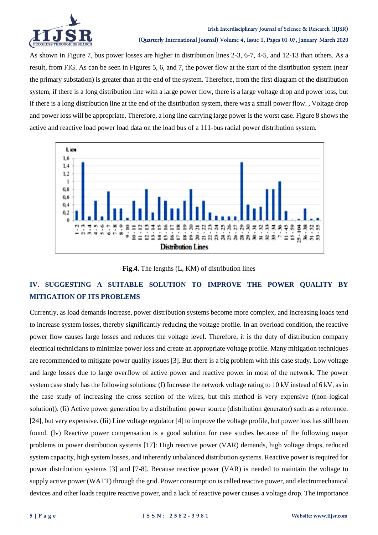

As shown in Figure 7, bus power losses are higher in distribution lines 2-3, 6-7, 4-5, and 12-13 than others. As a result, from FIG. As can be seen in Figures 5, 6, and 7, the power flow at the start of the distribution system (near the primary substation) is greater than at the end of the system. Therefore, from the first diagram of the distribution system, if there is a long distribution line with a large power flow, there is a large voltage drop and power loss, but if there is a long distribution line at the end of the distribution system, there was a small power flow. , Voltage drop and power loss will be appropriate. Therefore, a long line carrying large power is the worst case. Figure 8 shows the active and reactive load power load data on the load bus of a 111-bus radial power distribution system.



**Fig.4.** The lengths (L, KM) of distribution lines

# **IV. SUGGESTING A SUITABLE SOLUTION TO IMPROVE THE POWER QUALITY BY MITIGATION OF ITS PROBLEMS**

Currently, as load demands increase, power distribution systems become more complex, and increasing loads tend to increase system losses, thereby significantly reducing the voltage profile. In an overload condition, the reactive power flow causes large losses and reduces the voltage level. Therefore, it is the duty of distribution company electrical technicians to minimize power loss and create an appropriate voltage profile. Many mitigation techniques are recommended to mitigate power quality issues [3]. But there is a big problem with this case study. Low voltage and large losses due to large overflow of active power and reactive power in most of the network. The power system case study has the following solutions: (I) Increase the network voltage rating to 10 kV instead of 6 kV, as in the case study of increasing the cross section of the wires, but this method is very expensive ((non-logical solution)). (Ii) Active power generation by a distribution power source (distribution generator) such as a reference. [24], but very expensive. (Iii) Line voltage regulator [4] to improve the voltage profile, but power loss has still been found. (Iv) Reactive power compensation is a good solution for case studies because of the following major problems in power distribution systems [17]: High reactive power (VAR) demands, high voltage drops, reduced system capacity, high system losses, and inherently unbalanced distribution systems. Reactive power is required for power distribution systems [3] and [7-8]. Because reactive power (VAR) is needed to maintain the voltage to supply active power (WATT) through the grid. Power consumption is called reactive power, and electromechanical devices and other loads require reactive power, and a lack of reactive power causes a voltage drop. The importance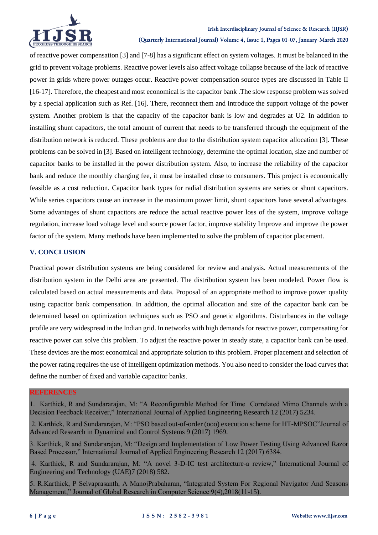

# **Irish Interdisciplinary Journal of Science & Research (IIJSR)**

**(Quarterly International Journal) Volume 4, Issue 1, Pages 01-07, January-March 2020**

of reactive power compensation [3] and [7-8] has a significant effect on system voltages. It must be balanced in the grid to prevent voltage problems. Reactive power levels also affect voltage collapse because of the lack of reactive power in grids where power outages occur. Reactive power compensation source types are discussed in Table II [16-17]. Therefore, the cheapest and most economical is the capacitor bank .The slow response problem was solved by a special application such as Ref. [16]. There, reconnect them and introduce the support voltage of the power system. Another problem is that the capacity of the capacitor bank is low and degrades at U2. In addition to installing shunt capacitors, the total amount of current that needs to be transferred through the equipment of the distribution network is reduced. These problems are due to the distribution system capacitor allocation [3]. These problems can be solved in [3]. Based on intelligent technology, determine the optimal location, size and number of capacitor banks to be installed in the power distribution system. Also, to increase the reliability of the capacitor bank and reduce the monthly charging fee, it must be installed close to consumers. This project is economically feasible as a cost reduction. Capacitor bank types for radial distribution systems are series or shunt capacitors. While series capacitors cause an increase in the maximum power limit, shunt capacitors have several advantages. Some advantages of shunt capacitors are reduce the actual reactive power loss of the system, improve voltage regulation, increase load voltage level and source power factor, improve stability Improve and improve the power factor of the system. Many methods have been implemented to solve the problem of capacitor placement.

# **V. CONCLUSION**

Practical power distribution systems are being considered for review and analysis. Actual measurements of the distribution system in the Delhi area are presented. The distribution system has been modeled. Power flow is calculated based on actual measurements and data. Proposal of an appropriate method to improve power quality using capacitor bank compensation. In addition, the optimal allocation and size of the capacitor bank can be determined based on optimization techniques such as PSO and genetic algorithms. Disturbances in the voltage profile are very widespread in the Indian grid. In networks with high demands for reactive power, compensating for reactive power can solve this problem. To adjust the reactive power in steady state, a capacitor bank can be used. These devices are the most economical and appropriate solution to this problem. Proper placement and selection of the power rating requires the use of intelligent optimization methods. You also need to consider the load curves that define the number of fixed and variable capacitor banks.

# **REFERENCES**

1. Karthick, R and Sundararajan, M: "A Reconfigurable Method for Time Correlated Mimo Channels with a Decision Feedback Receiver," International Journal of Applied Engineering Research 12 (2017) 5234.

2. Karthick, R and Sundararajan, M: "PSO based out-of-order (ooo) execution scheme for HT-MPSOC"Journal of Advanced Research in Dynamical and Control Systems 9 (2017) 1969.

3. Karthick, R and Sundararajan, M: "Design and Implementation of Low Power Testing Using Advanced Razor Based Processor," International Journal of Applied Engineering Research 12 (2017) 6384.

4. Karthick, R and Sundararajan, M: "A novel 3-D-IC test architecture-a review," International Journal of Engineering and Technology (UAE)7 (2018) 582.

5. R.Karthick, P Selvaprasanth, A ManojPrabaharan, "Integrated System For Regional Navigator And Seasons Management," Journal of Global Research in Computer Science 9(4),2018(11-15).